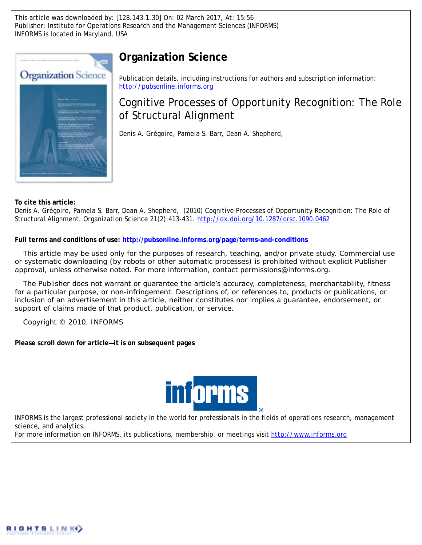This article was downloaded by: [128.143.1.30] On: 02 March 2017, At: 15:56 Publisher: Institute for Operations Research and the Management Sciences (INFORMS) INFORMS is located in Maryland, USA



# **Organization Science**

Publication details, including instructions for authors and subscription information: <http://pubsonline.informs.org>

# Cognitive Processes of Opportunity Recognition: The Role of Structural Alignment

Denis A. Grégoire, Pamela S. Barr, Dean A. Shepherd,

**To cite this article:**

Denis A. Grégoire, Pamela S. Barr, Dean A. Shepherd, (2010) Cognitive Processes of Opportunity Recognition: The Role of Structural Alignment. Organization Science 21(2):413-431. <http://dx.doi.org/10.1287/orsc.1090.0462>

**Full terms and conditions of use: <http://pubsonline.informs.org/page/terms-and-conditions>**

This article may be used only for the purposes of research, teaching, and/or private study. Commercial use or systematic downloading (by robots or other automatic processes) is prohibited without explicit Publisher approval, unless otherwise noted. For more information, contact permissions@informs.org.

The Publisher does not warrant or guarantee the article's accuracy, completeness, merchantability, fitness for a particular purpose, or non-infringement. Descriptions of, or references to, products or publications, or inclusion of an advertisement in this article, neither constitutes nor implies a guarantee, endorsement, or support of claims made of that product, publication, or service.

Copyright © 2010, INFORMS

**Please scroll down for article—it is on subsequent pages**



INFORMS is the largest professional society in the world for professionals in the fields of operations research, management science, and analytics.

For more information on INFORMS, its publications, membership, or meetings visit <http://www.informs.org>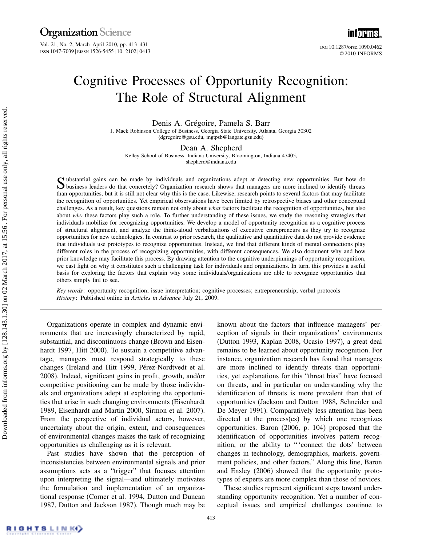**Vol. 21, No. 2, March–April 2010, pp. 413–431** ISSN 1047-7039 | EISSN 1526-5455 | 10 | 2102 | 0413



# Cognitive Processes of Opportunity Recognition: The Role of Structural Alignment

Denis A. Grégoire, Pamela S. Barr

J. Mack Robinson College of Business, Georgia State University, Atlanta, Georgia 30302 {dgregoire@gsu.edu, mgtpsb@langate.gsu.edu}

Dean A. Shepherd

Kelley School of Business, Indiana University, Bloomington, Indiana 47405, shepherd@indiana.edu

Substantial gains can be made by individuals and organizations adept at detecting new opportunities. But how do<br>business leaders do that concretely? Organization research shows that managers are more inclined to identify t than opportunities, but it is still not clear why this is the case. Likewise, research points to several factors that may facilitate the recognition of opportunities. Yet empirical observations have been limited by retrospective biases and other conceptual challenges. As a result, key questions remain not only about what factors facilitate the recognition of opportunities, but also about why these factors play such a role. To further understanding of these issues, we study the reasoning strategies that individuals mobilize for recognizing opportunities. We develop a model of opportunity recognition as a cognitive process of structural alignment, and analyze the think-aloud verbalizations of executive entrepreneurs as they try to recognize opportunities for new technologies. In contrast to prior research, the qualitative and quantitative data do not provide evidence that individuals use prototypes to recognize opportunities. Instead, we find that different kinds of mental connections play different roles in the process of recognizing opportunities, with different consequences. We also document why and how prior knowledge may facilitate this process. By drawing attention to the cognitive underpinnings of opportunity recognition, we cast light on why it constitutes such a challenging task for individuals and organizations. In turn, this provides a useful basis for exploring the factors that explain why some individuals/organizations are able to recognize opportunities that others simply fail to see.

Key words: opportunity recognition; issue interpretation; cognitive processes; entrepreneurship; verbal protocols History: Published online in Articles in Advance July 21, 2009.

Organizations operate in complex and dynamic environments that are increasingly characterized by rapid, substantial, and discontinuous change (Brown and Eisenhardt 1997, Hitt 2000). To sustain a competitive advantage, managers must respond strategically to these changes (Ireland and Hitt 1999, Pérez-Nordtvedt et al. 2008). Indeed, significant gains in profit, growth, and/or competitive positioning can be made by those individuals and organizations adept at exploiting the opportunities that arise in such changing environments (Eisenhardt 1989, Eisenhardt and Martin 2000, Sirmon et al. 2007). From the perspective of individual actors, however, uncertainty about the origin, extent, and consequences of environmental changes makes the task of recognizing opportunities as challenging as it is relevant.

Past studies have shown that the perception of inconsistencies between environmental signals and prior assumptions acts as a "trigger" that focuses attention upon interpreting the signal—and ultimately motivates the formulation and implementation of an organizational response (Corner et al. 1994, Dutton and Duncan 1987, Dutton and Jackson 1987). Though much may be known about the factors that influence managers' perception of signals in their organizations' environments (Dutton 1993, Kaplan 2008, Ocasio 1997), a great deal remains to be learned about opportunity recognition. For instance, organization research has found that managers are more inclined to identify threats than opportunities, yet explanations for this "threat bias" have focused on threats, and in particular on understanding why the identification of threats is more prevalent than that of opportunities (Jackson and Dutton 1988, Schneider and De Meyer 1991). Comparatively less attention has been directed at the process(es) by which one recognizes opportunities. Baron (2006, p. 104) proposed that the identification of opportunities involves pattern recognition, or the ability to " 'connect the dots' between changes in technology, demographics, markets, government policies, and other factors." Along this line, Baron and Ensley (2006) showed that the opportunity prototypes of experts are more complex than those of novices.

These studies represent significant steps toward understanding opportunity recognition. Yet a number of conceptual issues and empirical challenges continue to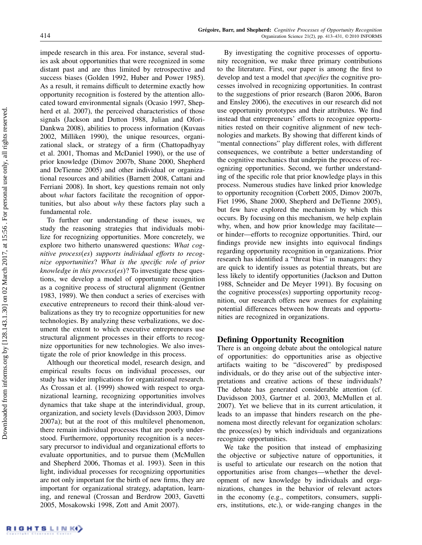impede research in this area. For instance, several studies ask about opportunities that were recognized in some distant past and are thus limited by retrospective and success biases (Golden 1992, Huber and Power 1985). As a result, it remains difficult to determine exactly how opportunity recognition is fostered by the attention allocated toward environmental signals (Ocasio 1997, Shepherd et al. 2007), the perceived characteristics of those signals (Jackson and Dutton 1988, Julian and Ofori-Dankwa 2008), abilities to process information (Kuvaas 2002, Milliken 1990), the unique resources, organizational slack, or strategy of a firm (Chattopadhyay et al. 2001, Thomas and McDaniel 1990), or the use of prior knowledge (Dimov 2007b, Shane 2000, Shepherd and DeTienne 2005) and other individual or organizational resources and abilities (Barnett 2008, Cattani and Ferriani 2008). In short, key questions remain not only about what factors facilitate the recognition of opportunities, but also about why these factors play such a fundamental role.

To further our understanding of these issues, we study the reasoning strategies that individuals mobilize for recognizing opportunities. More concretely, we explore two hitherto unanswered questions: What cognitive process(es) supports individual efforts to recognize opportunities? What is the specific role of prior knowledge in this process $(es)$ ? To investigate these questions, we develop a model of opportunity recognition as a cognitive process of structural alignment (Gentner 1983, 1989). We then conduct a series of exercises with executive entrepreneurs to record their think-aloud verbalizations as they try to recognize opportunities for new technologies. By analyzing these verbalizations, we document the extent to which executive entrepreneurs use structural alignment processes in their efforts to recognize opportunities for new technologies. We also investigate the role of prior knowledge in this process.

Although our theoretical model, research design, and empirical results focus on individual processes, our study has wider implications for organizational research. As Crossan et al. (1999) showed with respect to organizational learning, recognizing opportunities involves dynamics that take shape at the interindividual, group, organization, and society levels (Davidsson 2003, Dimov 2007a); but at the root of this multilevel phenomenon, there remain individual processes that are poorly understood. Furthermore, opportunity recognition is a necessary precursor to individual and organizational efforts to evaluate opportunities, and to pursue them (McMullen and Shepherd 2006, Thomas et al. 1993). Seen in this light, individual processes for recognizing opportunities are not only important for the birth of new firms, they are important for organizational strategy, adaptation, learning, and renewal (Crossan and Berdrow 2003, Gavetti 2005, Mosakowski 1998, Zott and Amit 2007).

By investigating the cognitive processes of opportunity recognition, we make three primary contributions to the literature. First, our paper is among the first to develop and test a model that *specifies* the cognitive processes involved in recognizing opportunities. In contrast to the suggestions of prior research (Baron 2006, Baron and Ensley 2006), the executives in our research did not use opportunity prototypes and their attributes. We find instead that entrepreneurs' efforts to recognize opportunities rested on their cognitive alignment of new technologies and markets. By showing that different kinds of "mental connections" play different roles, with different consequences, we contribute a better understanding of the cognitive mechanics that underpin the process of recognizing opportunities. Second, we further understanding of the specific role that prior knowledge plays in this process. Numerous studies have linked prior knowledge to opportunity recognition (Corbett 2005, Dimov 2007b, Fiet 1996, Shane 2000, Shepherd and DeTienne 2005), but few have explored the mechanism by which this occurs. By focusing on this mechanism, we help explain why, when, and how prior knowledge may facilitate or hinder—efforts to recognize opportunities. Third, our findings provide new insights into equivocal findings regarding opportunity recognition in organizations. Prior research has identified a "threat bias" in managers: they are quick to identify issues as potential threats, but are less likely to identify opportunities (Jackson and Dutton 1988, Schneider and De Meyer 1991). By focusing on the cognitive process(es) supporting opportunity recognition, our research offers new avenues for explaining potential differences between how threats and opportunities are recognized in organizations.

## Defining Opportunity Recognition

There is an ongoing debate about the ontological nature of opportunities: do opportunities arise as objective artifacts waiting to be "discovered" by predisposed individuals, or do they arise out of the subjective interpretations and creative actions of these individuals? The debate has generated considerable attention (cf. Davidsson 2003, Gartner et al. 2003, McMullen et al. 2007). Yet we believe that in its current articulation, it leads to an impasse that hinders research on the phenomena most directly relevant for organization scholars: the process(es) by which individuals and organizations recognize opportunities.

We take the position that instead of emphasizing the objective or subjective nature of opportunities, it is useful to articulate our research on the notion that opportunities arise from changes—whether the development of new knowledge by individuals and organizations, changes in the behavior of relevant actors in the economy (e.g., competitors, consumers, suppliers, institutions, etc.), or wide-ranging changes in the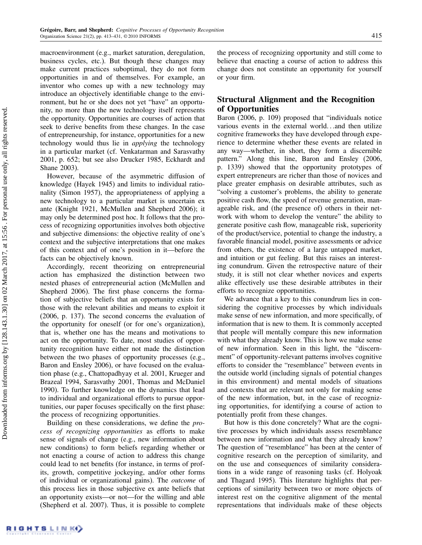macroenvironment (e.g., market saturation, deregulation, business cycles, etc.). But though these changes may make current practices suboptimal, they do not form opportunities in and of themselves. For example, an inventor who comes up with a new technology may introduce an objectively identifiable change to the environment, but he or she does not yet "have" an opportunity, no more than the new technology itself represents the opportunity. Opportunities are courses of action that seek to derive benefits from these changes. In the case of entrepreneurship, for instance, opportunities for a new technology would thus lie in applying the technology in a particular market (cf. Venkatarman and Sarasvathy 2001, p. 652; but see also Drucker 1985, Eckhardt and Shane 2003).

However, because of the asymmetric diffusion of knowledge (Hayek 1945) and limits to individual rationality (Simon 1957), the appropriateness of applying a new technology to a particular market is uncertain ex ante (Knight 1921, McMullen and Shepherd 2006); it may only be determined post hoc. It follows that the process of recognizing opportunities involves both objective and subjective dimensions: the objective reality of one's context and the subjective interpretations that one makes of this context and of one's position in it—before the facts can be objectively known.

Accordingly, recent theorizing on entrepreneurial action has emphasized the distinction between two nested phases of entrepreneurial action (McMullen and Shepherd 2006). The first phase concerns the formation of subjective beliefs that an opportunity exists for those with the relevant abilities and means to exploit it (2006, p. 137). The second concerns the evaluation of the opportunity for oneself (or for one's organization), that is, whether one has the means and motivations to act on the opportunity. To date, most studies of opportunity recognition have either not made the distinction between the two phases of opportunity processes (e.g., Baron and Ensley 2006), or have focused on the evaluation phase (e.g., Chattopadhyay et al. 2001, Krueger and Brazeal 1994, Sarasvathy 2001, Thomas and McDaniel 1990). To further knowledge on the dynamics that lead to individual and organizational efforts to pursue opportunities, our paper focuses specifically on the first phase: the process of recognizing opportunities.

Building on these considerations, we define the process of recognizing opportunities as efforts to make sense of signals of change (e.g., new information about new conditions) to form beliefs regarding whether or not enacting a course of action to address this change could lead to net benefits (for instance, in terms of profits, growth, competitive jockeying, and/or other forms of individual or organizational gains). The outcome of this process lies in those subjective ex ante beliefs that an opportunity exists—or not—for the willing and able (Shepherd et al. 2007). Thus, it is possible to complete the process of recognizing opportunity and still come to believe that enacting a course of action to address this change does not constitute an opportunity for yourself or your firm.

# Structural Alignment and the Recognition of Opportunities

Baron (2006, p. 109) proposed that "individuals notice various events in the external world...and then utilize cognitive frameworks they have developed through experience to determine whether these events are related in any way—whether, in short, they form a discernible pattern." Along this line, Baron and Ensley (2006, p. 1339) showed that the opportunity prototypes of expert entrepreneurs are richer than those of novices and place greater emphasis on desirable attributes, such as "solving a customer's problems, the ability to generate positive cash flow, the speed of revenue generation, manageable risk, and (the presence of) others in their network with whom to develop the venture" the ability to generate positive cash flow, manageable risk, superiority of the product/service, potential to change the industry, a favorable financial model, positive assessments or advice from others, the existence of a large untapped market, and intuition or gut feeling. But this raises an interesting conundrum. Given the retrospective nature of their study, it is still not clear whether novices and experts alike effectively use these desirable attributes in their efforts to recognize opportunities.

We advance that a key to this conundrum lies in considering the cognitive processes by which individuals make sense of new information, and more specifically, of information that is new to them. It is commonly accepted that people will mentally compare this new information with what they already know. This is how we make sense of new information. Seen in this light, the "discernment" of opportunity-relevant patterns involves cognitive efforts to consider the "resemblance" between events in the outside world (including signals of potential changes in this environment) and mental models of situations and contexts that are relevant not only for making sense of the new information, but, in the case of recognizing opportunities, for identifying a course of action to potentially profit from these changes.

But how is this done concretely? What are the cognitive processes by which individuals assess resemblance between new information and what they already know? The question of "resemblance" has been at the center of cognitive research on the perception of similarity, and on the use and consequences of similarity considerations in a wide range of reasoning tasks (cf. Holyoak and Thagard 1995). This literature highlights that perceptions of similarity between two or more objects of interest rest on the cognitive alignment of the mental representations that individuals make of these objects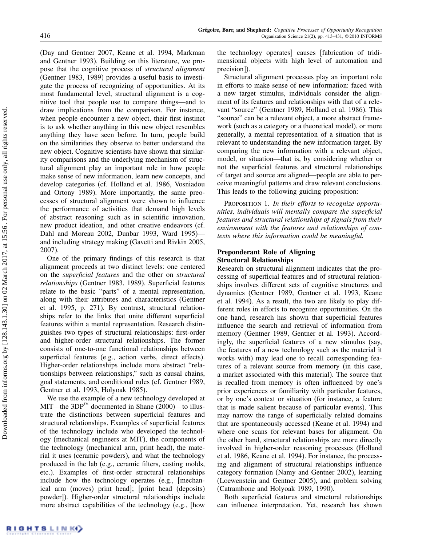(Day and Gentner 2007, Keane et al. 1994, Markman and Gentner 1993). Building on this literature, we propose that the cognitive process of structural alignment (Gentner 1983, 1989) provides a useful basis to investigate the process of recognizing of opportunities. At its most fundamental level, structural alignment is a cognitive tool that people use to compare things—and to draw implications from the comparison. For instance, when people encounter a new object, their first instinct is to ask whether anything in this new object resembles anything they have seen before. In turn, people build on the similarities they observe to better understand the new object. Cognitive scientists have shown that similarity comparisons and the underlying mechanism of structural alignment play an important role in how people make sense of new information, learn new concepts, and develop categories (cf. Holland et al. 1986, Vosniadou and Ortony 1989). More importantly, the same preocesses of structural alignment were shown to influence the performance of activities that demand high levels of abstract reasoning such as in scientific innovation, new product ideation, and other creative endeavors (cf. Dahl and Moreau 2002, Dunbar 1993, Ward 1995) and including strategy making (Gavetti and Rivkin 2005, 2007).

One of the primary findings of this research is that alignment proceeds at two distinct levels: one centered on the superficial features and the other on structural relationships (Gentner 1983, 1989). Superficial features relate to the basic "parts" of a mental representation, along with their attributes and characteristics (Gentner et al. 1995, p. 271). By contrast, structural relationships refer to the links that unite different superficial features within a mental representation. Research distinguishes two types of structural relationships: first-order and higher-order structural relationships. The former consists of one-to-one functional relationships between superficial features (e.g., action verbs, direct effects). Higher-order relationships include more abstract "relationships between relationships," such as causal chains, goal statements, and conditional rules (cf. Gentner 1989, Gentner et al. 1993, Holyoak 1985).

We use the example of a new technology developed at  $MIT$ —the 3DP<sup>™</sup> documented in Shane (2000)—to illustrate the distinctions between superficial features and structural relationships. Examples of superficial features of the technology include who developed the technology (mechanical engineers at MIT), the components of the technology (mechanical arm, print head), the material it uses (ceramic powders), and what the technology produced in the lab (e.g., ceramic filters, casting molds, etc.). Examples of first-order structural relationships include how the technology operates (e.g., [mechanical arm (moves) print head]; [print head (deposits) powder]). Higher-order structural relationships include more abstract capabilities of the technology (e.g., [how

the technology operates] causes [fabrication of tridimensional objects with high level of automation and precision]).

Structural alignment processes play an important role in efforts to make sense of new information: faced with a new target stimulus, individuals consider the alignment of its features and relationships with that of a relevant "source" (Gentner 1989, Holland et al. 1986). This "source" can be a relevant object, a more abstract framework (such as a category or a theoretical model), or more generally, a mental representation of a situation that is relevant to understanding the new information target. By comparing the new information with a relevant object, model, or situation—that is, by considering whether or not the superficial features and structural relationships of target and source are aligned—people are able to perceive meaningful patterns and draw relevant conclusions. This leads to the following guiding proposition:

PROPOSITION 1. In their efforts to recognize opportunities, individuals will mentally compare the superficial features and structural relationships of signals from their environment with the features and relationships of contexts where this information could be meaningful.

# Preponderant Role of Aligning Structural Relationships

Research on structural alignment indicates that the processing of superficial features and of structural relationships involves different sets of cognitive structures and dynamics (Gentner 1989, Gentner et al. 1993, Keane et al. 1994). As a result, the two are likely to play different roles in efforts to recognize opportunities. On the one hand, research has shown that superficial features influence the search and retrieval of information from memory (Gentner 1989, Gentner et al. 1993). Accordingly, the superficial features of a new stimulus (say, the features of a new technology such as the material it works with) may lead one to recall corresponding features of a relevant source from memory (in this case, a market associated with this material). The source that is recalled from memory is often influenced by one's prior experiences or familiarity with particular features, or by one's context or situation (for instance, a feature that is made salient because of particular events). This may narrow the range of superficially related domains that are spontaneously accessed (Keane et al. 1994) and where one scans for relevant bases for alignment. On the other hand, structural relationships are more directly involved in higher-order reasoning processes (Holland et al. 1986, Keane et al. 1994). For instance, the processing and alignment of structural relationships influence category formation (Namy and Gentner 2002), learning (Loewenstein and Gentner 2005), and problem solving (Catrambone and Holyoak 1989, 1990).

Both superficial features and structural relationships can influence interpretation. Yet, research has shown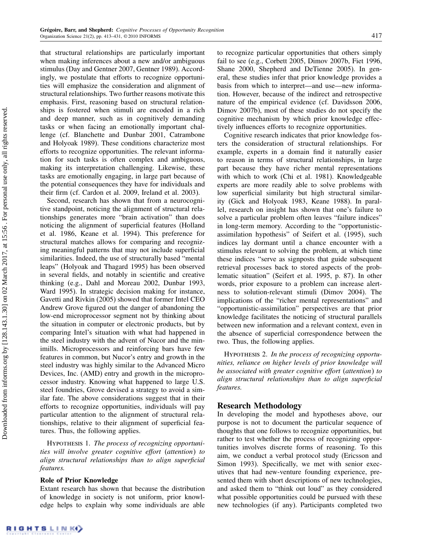that structural relationships are particularly important when making inferences about a new and/or ambiguous stimulus (Day and Gentner 2007, Gentner 1989). Accordingly, we postulate that efforts to recognize opportunities will emphasize the consideration and alignment of structural relationships. Two further reasons motivate this emphasis. First, reasoning based on structural relationships is fostered when stimuli are encoded in a rich and deep manner, such as in cognitively demanding tasks or when facing an emotionally important challenge (cf. Blanchette and Dunbar 2001, Catrambone and Holyoak 1989). These conditions characterize most efforts to recognize opportunities. The relevant information for such tasks is often complex and ambiguous, making its interpretation challenging. Likewise, these tasks are emotionally engaging, in large part because of the potential consequences they have for individuals and their firm (cf. Cardon et al. 2009, Ireland et al. 2003).

Second, research has shown that from a neurocognitive standpoint, noticing the alignment of structural relationships generates more "brain activation" than does noticing the alignment of superficial features (Holland et al. 1986, Keane et al. 1994). This preference for structural matches allows for comparing and recognizing meaningful patterns that may not include superficial similarities. Indeed, the use of structurally based "mental leaps" (Holyoak and Thagard 1995) has been observed in several fields, and notably in scientific and creative thinking (e.g., Dahl and Moreau 2002, Dunbar 1993, Ward 1995). In strategic decision making for instance, Gavetti and Rivkin (2005) showed that former Intel CEO Andrew Grove figured out the danger of abandoning the low-end microprocessor segment not by thinking about the situation in computer or electronic products, but by comparing Intel's situation with what had happened in the steel industry with the advent of Nucor and the minimills. Microprocessors and reinforcing bars have few features in common, but Nucor's entry and growth in the steel industry was highly similar to the Advanced Micro Devices, Inc. (AMD) entry and growth in the microprocessor industry. Knowing what happened to large U.S. steel foundries, Grove devised a strategy to avoid a similar fate. The above considerations suggest that in their efforts to recognize opportunities, individuals will pay particular attention to the alignment of structural relationships, relative to their alignment of superficial features. Thus, the following applies.

Hypothesis 1. The process of recognizing opportunities will involve greater cognitive effort (attention) to align structural relationships than to align superficial features.

## Role of Prior Knowledge

Extant research has shown that because the distribution of knowledge in society is not uniform, prior knowledge helps to explain why some individuals are able to recognize particular opportunities that others simply fail to see (e.g., Corbett 2005, Dimov 2007b, Fiet 1996, Shane 2000, Shepherd and DeTienne 2005). In general, these studies infer that prior knowledge provides a basis from which to interpret—and use—new information. However, because of the indirect and retrospective nature of the empirical evidence (cf. Davidsson 2006, Dimov 2007b), most of these studies do not specify the cognitive mechanism by which prior knowledge effectively influences efforts to recognize opportunities.

Cognitive research indicates that prior knowledge fosters the consideration of structural relationships. For example, experts in a domain find it naturally easier to reason in terms of structural relationships, in large part because they have richer mental representations with which to work (Chi et al. 1981). Knowledgeable experts are more readily able to solve problems with low superficial similarity but high structural similarity (Gick and Holyoak 1983, Keane 1988). In parallel, research on insight has shown that one's failure to solve a particular problem often leaves "failure indices" in long-term memory. According to the "opportunisticassimilation hypothesis" of Seifert et al. (1995), such indices lay dormant until a chance encounter with a stimulus relevant to solving the problem, at which time these indices "serve as signposts that guide subsequent retrieval processes back to stored aspects of the problematic situation" (Seifert et al. 1995, p. 87). In other words, prior exposure to a problem can increase alertness to solution-relevant stimuli (Dimov 2004). The implications of the "richer mental representations" and "opportunistic-assimilation" perspectives are that prior knowledge facilitates the noticing of structural parallels between new information and a relevant context, even in the absence of superficial correspondence between the two. Thus, the following applies.

Hypothesis 2. In the process of recognizing opportunities, reliance on higher levels of prior knowledge will be associated with greater cognitive effort (attention) to align structural relationships than to align superficial features.

# Research Methodology

In developing the model and hypotheses above, our purpose is not to document the particular sequence of thoughts that one follows to recognize opportunities, but rather to test whether the process of recognizing opportunities involves discrete forms of reasoning. To this aim, we conduct a verbal protocol study (Ericsson and Simon 1993). Specifically, we met with senior executives that had new-venture founding experience, presented them with short descriptions of new technologies, and asked them to "think out loud" as they considered what possible opportunities could be pursued with these new technologies (if any). Participants completed two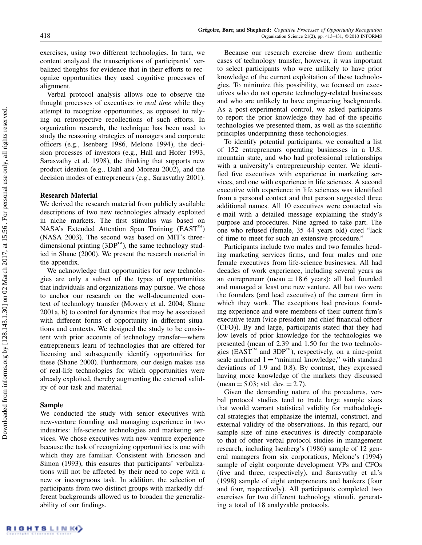exercises, using two different technologies. In turn, we content analyzed the transcriptions of participants' verbalized thoughts for evidence that in their efforts to recognize opportunities they used cognitive processes of alignment.

Verbal protocol analysis allows one to observe the thought processes of executives in real time while they attempt to recognize opportunities, as opposed to relying on retrospective recollections of such efforts. In organization research, the technique has been used to study the reasoning strategies of managers and corporate officers (e.g., Isenberg 1986, Melone 1994), the decision processes of investors (e.g., Hall and Hofer 1993, Sarasvathy et al. 1998), the thinking that supports new product ideation (e.g., Dahl and Moreau 2002), and the decision modes of entrepreneurs (e.g., Sarasvathy 2001).

## Research Material

We derived the research material from publicly available descriptions of two new technologies already exploited in niche markets. The first stimulus was based on NASA's Extended Attention Span Training (EAST<sup>™</sup>) (NASA 2003). The second was based on MIT's threedimensional printing  $(3DP^m)$ , the same technology studied in Shane (2000). We present the research material in the appendix.

We acknowledge that opportunities for new technologies are only a subset of the types of opportunities that individuals and organizations may pursue. We chose to anchor our research on the well-documented context of technology transfer (Mowery et al. 2004; Shane 2001a, b) to control for dynamics that may be associated with different forms of opportunity in different situations and contexts. We designed the study to be consistent with prior accounts of technology transfer—where entrepreneurs learn of technologies that are offered for licensing and subsequently identify opportunities for these (Shane 2000). Furthermore, our design makes use of real-life technologies for which opportunities were already exploited, thereby augmenting the external validity of our task and material.

#### Sample

We conducted the study with senior executives with new-venture founding and managing experience in two industries: life-science technologies and marketing services. We chose executives with new-venture experience because the task of recognizing opportunities is one with which they are familiar. Consistent with Ericsson and Simon (1993), this ensures that participants' verbalizations will not be affected by their need to cope with a new or incongruous task. In addition, the selection of participants from two distinct groups with markedly different backgrounds allowed us to broaden the generalizability of our findings.

Because our research exercise drew from authentic cases of technology transfer, however, it was important to select participants who were unlikely to have prior knowledge of the current exploitation of these technologies. To minimize this possibility, we focused on executives who do not operate technology-related businesses and who are unlikely to have engineering backgrounds. As a post-experimental control, we asked participants to report the prior knowledge they had of the specific technologies we presented them, as well as the scientific principles underpinning these techonologies.

To identify potential participants, we consulted a list of 152 entrepreneurs operating businesses in a U.S. mountain state, and who had professional relationships with a university's entrepreneurship center. We identified five executives with experience in marketing services, and one with experience in life sciences. A second executive with experience in life sciences was identified from a personal contact and that person suggested three additional names. All 10 executives were contacted via e-mail with a detailed message explaining the study's purpose and procedures. Nine agreed to take part. The one who refused (female, 35–44 years old) cited "lack of time to meet for such an extensive procedure."

Participants include two males and two females heading marketing services firms, and four males and one female executives from life-science businesses. All had decades of work experience, including several years as an entrepreneur (mean  $= 18.6$  years): all had founded and managed at least one new venture. All but two were the founders (and lead executive) of the current firm in which they work. The exceptions had previous founding experience and were members of their current firm's executive team (vice president and chief financial officer (CFO)). By and large, participants stated that they had low levels of prior knowledge for the technologies we presented (mean of 2.39 and 1.50 for the two technologies ( $EAST^m$  and  $3DP^m$ ), respectively, on a nine-point scale anchored  $1 =$  "minimal knowledge," with standard deviations of 1.9 and 0.8). By contrast, they expressed having more knowledge of the markets they discussed  $(\text{mean} = 5.03; \text{ std. dev.} = 2.7).$ 

Given the demanding nature of the procedures, verbal protocol studies tend to trade large sample sizes that would warrant statistical validity for methodological strategies that emphasize the internal, construct, and external validity of the observations. In this regard, our sample size of nine executives is directly comparable to that of other verbal protocol studies in management research, including Isenberg's (1986) sample of 12 general managers from six corporations, Melone's (1994) sample of eight corporate development VPs and CFOs (five and three, respectively), and Sarasvathy et al.'s (1998) sample of eight entrepreneurs and bankers (four and four, respectively). All participants completed two exercises for two different technology stimuli, generating a total of 18 analyzable protocols.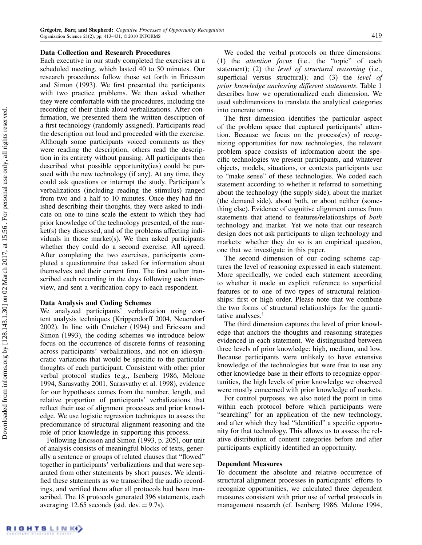## Data Collection and Research Procedures

Each executive in our study completed the exercises at a scheduled meeting, which lasted 40 to 50 minutes. Our research procedures follow those set forth in Ericsson and Simon (1993). We first presented the participants with two practice problems. We then asked whether they were comfortable with the procedures, including the recording of their think-aloud verbalizations. After confirmation, we presented them the written description of a first technology (randomly assigned). Participants read the description out loud and proceeded with the exercise. Although some participants voiced comments as they were reading the description, others read the description in its entirety without pausing. All participants then described what possible opportunity(ies) could be pursued with the new technology (if any). At any time, they could ask questions or interrupt the study. Participant's verbalizations (including reading the stimulus) ranged from two and a half to 10 minutes. Once they had finished describing their thoughts, they were asked to indicate on one to nine scale the extent to which they had prior knowledge of the technology presented, of the market(s) they discussed, and of the problems affecting individuals in those market(s). We then asked participants whether they could do a second exercise. All agreed. After completing the two exercises, participants completed a questionnaire that asked for information about themselves and their current firm. The first author transcribed each recording in the days following each interview, and sent a verification copy to each respondent.

## Data Analysis and Coding Schemes

We analyzed participants' verbalization using content analysis techniques (Krippendorff 2004, Neuendorf 2002). In line with Crutcher (1994) and Ericsson and Simon (1993), the coding schemes we introduce below focus on the occurrence of discrete forms of reasoning across participants' verbalizations, and not on idiosyncratic variations that would be specific to the particular thoughts of each participant. Consistent with other prior verbal protocol studies (e.g., Isenberg 1986, Melone 1994, Sarasvathy 2001, Sarasvathy et al. 1998), evidence for our hypotheses comes from the number, length, and relative proportion of participants' verbalizations that reflect their use of alignment processes and prior knowledge. We use logistic regression techniques to assess the predominance of structural alignment reasoning and the role of prior knowledge in supporting this process.

Following Ericsson and Simon (1993, p. 205), our unit of analysis consists of meaningful blocks of texts, generally a sentence or groups of related clauses that "flowed" together in participants' verbalizations and that were separated from other statements by short pauses. We identified these statements as we transcribed the audio recordings, and verified them after all protocols had been transcribed. The 18 protocols generated 396 statements, each averaging 12.65 seconds (std. dev.  $= 9.7$ s).

We coded the verbal protocols on three dimensions: (1) the attention focus (i.e., the "topic" of each statement); (2) the level of structural reasoning (i.e., superficial versus structural); and  $(3)$  the *level of* prior knowledge anchoring different statements. Table 1 describes how we operationalized each dimension. We used subdimensions to translate the analytical categories into concrete terms.

The first dimension identifies the particular aspect of the problem space that captured participants' attention. Because we focus on the process(es) of recognizing opportunities for new technologies, the relevant problem space consists of information about the specific technologies we present participants, and whatever objects, models, situations, or contexts participants use to "make sense" of these technologies. We coded each statement according to whether it referred to something about the technology (the supply side), about the market (the demand side), about both, or about neither (something else). Evidence of cognitive alignment comes from statements that attend to features/relationships of both technology and market. Yet we note that our research design does not ask participants to align technology and markets: whether they do so is an empirical question, one that we investigate in this paper.

The second dimension of our coding scheme captures the level of reasoning expressed in each statement. More specifically, we coded each statement according to whether it made an explicit reference to superficial features or to one of two types of structural relationships: first or high order. Please note that we combine the two forms of structural relationships for the quantitative analyses. $<sup>1</sup>$ </sup>

The third dimension captures the level of prior knowledge that anchors the thoughts and reasoning strategies evidenced in each statement. We distinguished between three levels of prior knowledge: high, medium, and low. Because participants were unlikely to have extensive knowledge of the technologies but were free to use any other knowledge base in their efforts to recognize opportunities, the high levels of prior knowledge we observed were mostly concerned with prior knowledge of markets.

For control purposes, we also noted the point in time within each protocol before which participants were "searching" for an application of the new technology, and after which they had "identified" a specific opportunity for that technology. This allows us to assess the relative distribution of content categories before and after participants explicitly identified an opportunity.

## Dependent Measures

To document the absolute and relative occurrence of structural alignment processes in participants' efforts to recognize opportunities, we calculated three dependent measures consistent with prior use of verbal protocols in management research (cf. Isenberg 1986, Melone 1994,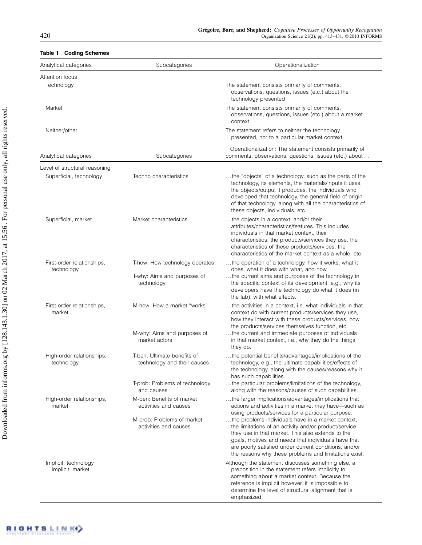| Analytical categories                    | Subcategories                                              | Operationalization                                                                                                                                                                                                                                                                                                                        |  |
|------------------------------------------|------------------------------------------------------------|-------------------------------------------------------------------------------------------------------------------------------------------------------------------------------------------------------------------------------------------------------------------------------------------------------------------------------------------|--|
| Attention focus                          |                                                            |                                                                                                                                                                                                                                                                                                                                           |  |
| Technology                               |                                                            | The statement consists primarily of comments,<br>observations, questions, issues (etc.) about the<br>technology presented                                                                                                                                                                                                                 |  |
| Market                                   |                                                            | The statement consists primarily of comments,<br>observations, questions, issues (etc.) about a market<br>context                                                                                                                                                                                                                         |  |
| Neither/other                            |                                                            | The statement refers to neither the technology<br>presented, nor to a particular market context.                                                                                                                                                                                                                                          |  |
| Analytical categories                    | Subcategories                                              | Operationalization: The statement consists primarily of<br>comments, observations, questions, issues (etc.) about                                                                                                                                                                                                                         |  |
| Level of structural reasoning            |                                                            |                                                                                                                                                                                                                                                                                                                                           |  |
| Superficial, technology                  | Techno characteristics                                     | the "objects" of a technology, such as the parts of the<br>technology, its elements, the materials/inputs it uses,<br>the objects/output it produces, the individuals who<br>developed that technology, the general field of origin<br>of that technology, along with all the characteristics of<br>these objects, individuals, etc.      |  |
| Superficial, market                      | Market characteristics                                     | the objects in a context, and/or their<br>attributes/characteristics/features. This includes<br>individuals in that market context, their<br>characteristics, the products/services they use, the<br>characteristics of these products/services, the<br>characteristics of the market context as a whole, etc.                            |  |
| First-order relationships,<br>technology | T-how: How technology operates                             | the operation of a technology, how it works, what it<br>does, what it does with what, and how.                                                                                                                                                                                                                                            |  |
|                                          | T-why: Aims and purposes of<br>technology                  | the current aims and purposes of the technology in<br>the specific context of its development, e.g., why its<br>developers have the technology do what it does (in<br>the lab), with what effects.                                                                                                                                        |  |
| First order relationships,<br>market     | M-how: How a market "works"                                | the activities in a context, i.e. what individuals in that<br>context do with current products/services they use,<br>how they interact with these products/services, how<br>the products/services themselves function, etc.                                                                                                               |  |
|                                          | M-why: Aims and purposes of<br>market actors               | the current and immediate purposes of individuals<br>in that market context, i.e., why they do the things<br>they do.                                                                                                                                                                                                                     |  |
| High-order relationships,<br>technology  | T-ben: Ultimate benefits of<br>technology and their causes | the potential benefits/advantages/implications of the<br>technology, e.g., the ultimate capabilities/effects of<br>the technology, along with the causes/reasons why it<br>has such capabilities.                                                                                                                                         |  |
|                                          | T-prob: Problems of technology<br>and causes               | the particular problems/limitations of the technology,<br>along with the reasons/causes of such capabilities.                                                                                                                                                                                                                             |  |
| High-order relationships,<br>market      | M-ben: Benefits of market<br>activities and causes         | the larger implications/advantages/implications that<br>actions and activities in a market may have-such as<br>using products/services for a particular purpose.                                                                                                                                                                          |  |
|                                          | M-prob: Problems of market<br>activities and causes        | the problems individuals have in a market context,<br>the limitations of an activity and/or product/service<br>they use in that market. This also extends to the<br>goals, motives and needs that individuals have that<br>are poorly satisfied under current conditions, and/or<br>the reasons why these problems and limitations exist. |  |
| Implicit, technology<br>Implicit, market |                                                            | Although the statement discusses something else, a<br>preposition in the statement refers implicitly to<br>something about a market context. Because the<br>reference is implicit however, it is impossible to<br>determine the level of structural alignment that is<br>emphasized.                                                      |  |

# Table 1 Coding Schemes

RIGHTSLINKY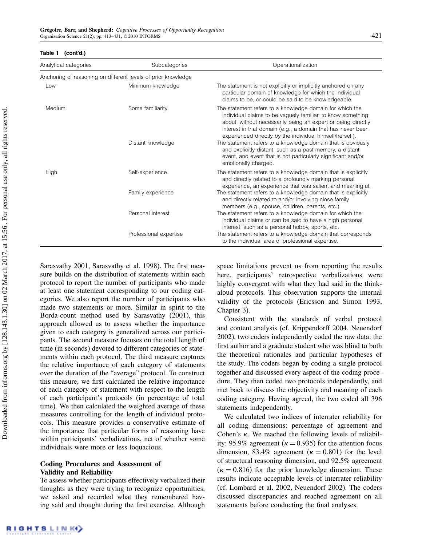| Table 1 | (cont'd.) |
|---------|-----------|
|---------|-----------|

| Analytical categories                                         | Subcategories                         | Operationalization                                                                                                                                                                                                                                                                                                                                                                                                                             |  |  |  |
|---------------------------------------------------------------|---------------------------------------|------------------------------------------------------------------------------------------------------------------------------------------------------------------------------------------------------------------------------------------------------------------------------------------------------------------------------------------------------------------------------------------------------------------------------------------------|--|--|--|
| Anchoring of reasoning on different levels of prior knowledge |                                       |                                                                                                                                                                                                                                                                                                                                                                                                                                                |  |  |  |
| Low                                                           | Minimum knowledge                     | The statement is not explicitly or implicitly anchored on any<br>particular domain of knowledge for which the individual<br>claims to be, or could be said to be knowledgeable.                                                                                                                                                                                                                                                                |  |  |  |
| Medium                                                        | Some familiarity<br>Distant knowledge | The statement refers to a knowledge domain for which the<br>individual claims to be vaguely familiar, to know something<br>about, without necessarily being an expert or being directly<br>interest in that domain (e.g., a domain that has never been<br>experienced directly by the individual himself/herself).<br>The statement refers to a knowledge domain that is obviously<br>and explicitly distant, such as a past memory, a distant |  |  |  |
|                                                               |                                       | event, and event that is not particularly significant and/or<br>emotionally charged.                                                                                                                                                                                                                                                                                                                                                           |  |  |  |
| High                                                          | Self-experience                       | The statement refers to a knowledge domain that is explicitly<br>and directly related to a profoundly marking personal<br>experience, an experience that was salient and meaningful.                                                                                                                                                                                                                                                           |  |  |  |
|                                                               | Family experience                     | The statement refers to a knowledge domain that is explicitly<br>and directly related to and/or involving close family<br>members (e.g., spouse, children, parents, etc.).                                                                                                                                                                                                                                                                     |  |  |  |
|                                                               | Personal interest                     | The statement refers to a knowledge domain for which the<br>individual claims or can be said to have a high personal<br>interest, such as a personal hobby, sports, etc.                                                                                                                                                                                                                                                                       |  |  |  |
|                                                               | Professional expertise                | The statement refers to a knowledge domain that corresponds<br>to the individual area of professional expertise.                                                                                                                                                                                                                                                                                                                               |  |  |  |

Sarasvathy 2001, Sarasvathy et al. 1998). The first measure builds on the distribution of statements within each protocol to report the number of participants who made at least one statement corresponding to our coding categories. We also report the number of participants who made two statements or more. Similar in spirit to the Borda-count method used by Sarasvathy (2001), this approach allowed us to assess whether the importance given to each category is generalized across our participants. The second measure focuses on the total length of time (in seconds) devoted to different categories of statements within each protocol. The third measure captures the relative importance of each category of statements over the duration of the "average" protocol. To construct this measure, we first calculated the relative importance of each category of statement with respect to the length of each participant's protocols (in percentage of total time). We then calculated the weighted average of these measures controlling for the length of individual protocols. This measure provides a conservative estimate of the importance that particular forms of reasoning have within participants' verbalizations, net of whether some individuals were more or less loquacious.

## Coding Procedures and Assessment of Validity and Reliability

To assess whether participants effectively verbalized their thoughts as they were trying to recognize opportunities, we asked and recorded what they remembered having said and thought during the first exercise. Although space limitations prevent us from reporting the results here, participants' retrospective verbalizations were highly convergent with what they had said in the thinkaloud protocols. This observation supports the internal validity of the protocols (Ericsson and Simon 1993, Chapter 3).

Consistent with the standards of verbal protocol and content analysis (cf. Krippendorff 2004, Neuendorf 2002), two coders independently coded the raw data: the first author and a graduate student who was blind to both the theoretical rationales and particular hypotheses of the study. The coders began by coding a single protocol together and discussed every aspect of the coding procedure. They then coded two protocols independently, and met back to discuss the objectivity and meaning of each coding category. Having agreed, the two coded all 396 statements independently.

We calculated two indices of interrater reliability for all coding dimensions: percentage of agreement and Cohen's  $\kappa$ . We reached the following levels of reliability: 95.9% agreement ( $\kappa = 0.935$ ) for the attention focus dimension, 83.4% agreement ( $\kappa = 0.801$ ) for the level of structural reasoning dimension, and 92.5% agreement  $(\kappa = 0.816)$  for the prior knowledge dimension. These results indicate acceptable levels of interrater reliability (cf. Lombard et al. 2002, Neuendorf 2002). The coders discussed discrepancies and reached agreement on all statements before conducting the final analyses.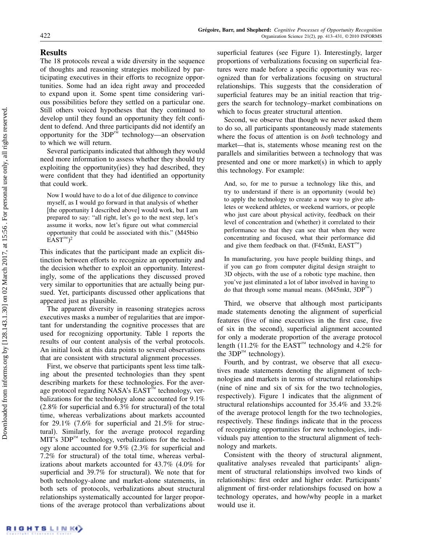# Results

The 18 protocols reveal a wide diversity in the sequence of thoughts and reasoning strategies mobilized by participating executives in their efforts to recognize opportunities. Some had an idea right away and proceeded to expand upon it. Some spent time considering various possibilities before they settled on a particular one. Still others voiced hypotheses that they continued to develop until they found an opportunity they felt confident to defend. And three participants did not identify an opportunity for the 3DP™ technology—an observation to which we will return.

Several participants indicated that although they would need more information to assess whether they should try exploiting the opportunity(ies) they had described, they were confident that they had identified an opportunity that could work.

Now I would have to do a lot of due diligence to convince myself, as I would go forward in that analysis of whether [the opportunity I described above] would work, but I am prepared to say: "all right, let's go to the next step, let's assume it works, now let's figure out what commercial opportunity that could be associated with this." (M45bio  $EAST^{TM})^2$ 

This indicates that the participant made an explicit distinction between efforts to recognize an opportunity and the decision whether to exploit an opportunity. Interestingly, some of the applications they discussed proved very similar to opportunities that are actually being pursued. Yet, participants discussed other applications that appeared just as plausible.

The apparent diversity in reasoning strategies across executives masks a number of regularities that are important for understanding the cognitive processes that are used for recognizing opportunity. Table 1 reports the results of our content analysis of the verbal protocols. An initial look at this data points to several observations that are consistent with structural alignment processes.

First, we observe that participants spent less time talking about the presented technologies than they spent describing markets for these technologies. For the average protocol regarding NASA's EAST™ technology, verbalizations for the technology alone accounted for 9.1% (2.8% for superficial and 6.3% for structural) of the total time, whereas verbalizations about markets accounted for 29.1% (7.6% for superficial and 21.5% for structural). Similarly, for the average protocol regarding MIT's 3DP™ technology, verbalizations for the technology alone accounted for 9.5% (2.3% for superficial and 7.2% for structural) of the total time, whereas verbalizations about markets accounted for 43.7% (4.0% for superficial and 39.7% for structural). We note that for both technology-alone and market-alone statements, in both sets of protocols, verbalizations about structural relationships systematically accounted for larger proportions of the average protocol than verbalizations about

superficial features (see Figure 1). Interestingly, larger proportions of verbalizations focusing on superficial features were made before a specific opportunity was recognized than for verbalizations focusing on structural relationships. This suggests that the consideration of superficial features may be an initial reaction that triggers the search for technology–market combinations on which to focus greater structural attention.

Second, we observe that though we never asked them to do so, all participants spontaneously made statements where the focus of attention is on *both* technology and market—that is, statements whose meaning rest on the parallels and similarities between a technology that was presented and one or more market(s) in which to apply this technology. For example:

And, so, for me to pursue a technology like this, and try to understand if there is an opportunity (would be) to apply the technology to create a new way to give athletes or weekend athletes, or weekend warriors, or people who just care about physical activity, feedback on their level of concentration and (whether) it correlated to their performance so that they can see that when they were concentrating and focused, what their performance did and give them feedback on that. (F45mkt,  $EAST<sup>TM</sup>$ )

In manufacturing, you have people building things, and if you can go from computer digital design straight to 3D objects, with the use of a robotic type machine, then you've just eliminated a lot of labor involved in having to do that through some manual means.  $(M45mkt, 3DP<sup>TM</sup>)$ 

Third, we observe that although most participants made statements denoting the alignment of superficial features (five of nine executives in the first case, five of six in the second), superficial alignment accounted for only a moderate proportion of the average protocol length (11.2% for the EAST<sup>™</sup> technology and 4.2% for the  $3DP^{TM}$  technology).

Fourth, and by contrast, we observe that all executives made statements denoting the alignment of technologies and markets in terms of structural relationships (nine of nine and six of six for the two technologies, respectively). Figure 1 indicates that the alignment of structural relationships accounted for 35.4% and 33.2% of the average protocol length for the two technologies, respectively. These findings indicate that in the process of recognizing opportunities for new technologies, individuals pay attention to the structural alignment of technology and markets.

Consistent with the theory of structural alignment, qualitative analyses revealed that participants' alignment of structural relationships involved two kinds of relationships: first order and higher order. Participants' alignment of first-order relationships focused on how a technology operates, and how/why people in a market would use it.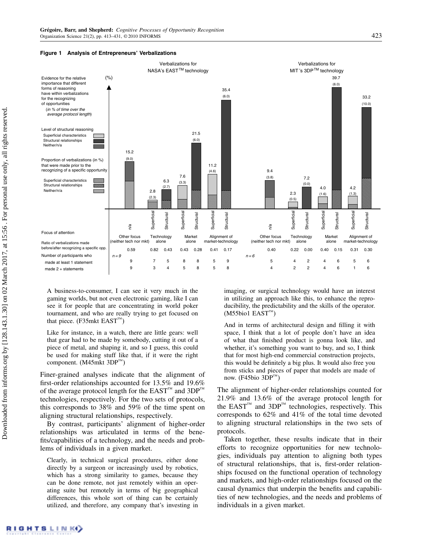### Figure 1 Analysis of Entrepreneurs' Verbalizations



A business-to-consumer, I can see it very much in the gaming worlds, but not even electronic gaming, like I can see it for people that are concentrating in world poker tournament, and who are really trying to get focused on that piece. (F35mkt  $EAST<sup>TM</sup>$ )

Like for instance, in a watch, there are little gears: well that gear had to be made by somebody, cutting it out of a piece of metal, and shaping it, and so I guess, this could be used for making stuff like that, if it were the right component. (M45mkt 3DP™)

Finer-grained analyses indicate that the alignment of first-order relationships accounted for 13.5% and 19.6% of the average protocol length for the EAST™ and 3DP™ technologies, respectively. For the two sets of protocols, this corresponds to 38% and 59% of the time spent on aligning structural relationships, respectively.

By contrast, participants' alignment of higher-order relationships was articulated in terms of the benefits/capabilities of a technology, and the needs and problems of individuals in a given market.

Clearly, in technical surgical procedures, either done directly by a surgeon or increasingly used by robotics, which has a strong similarity to games, because they can be done remote, not just remotely within an operating suite but remotely in terms of big geographical differences, this whole sort of thing can be certainly utilized, and therefore, any company that's investing in imaging, or surgical technology would have an interest in utilizing an approach like this, to enhance the reproducibility, the predictability and the skills of the operator.  $(M55biol$  EAST<sup>™</sup>)

And in terms of architectural design and filling it with space, I think that a lot of people don't have an idea of what that finished product is gonna look like, and whether, it's something you want to buy, and so, I think that for most high-end commercial construction projects, this would be definitely a big plus. It would also free you from sticks and pieces of paper that models are made of now. (F45bio 3D $P^{TM}$ )

The alignment of higher-order relationships counted for 21.9% and 13.6% of the average protocol length for the  $EAST^M$  and  $3DP^M$  technologies, respectively. This corresponds to 62% and 41% of the total time devoted to aligning structural relationships in the two sets of protocols.

Taken together, these results indicate that in their efforts to recognize opportunities for new technologies, individuals pay attention to aligning both types of structural relationships, that is, first-order relationships focused on the functional operation of technology and markets, and high-order relationships focused on the causal dynamics that underpin the benefits and capabilities of new technologies, and the needs and problems of individuals in a given market.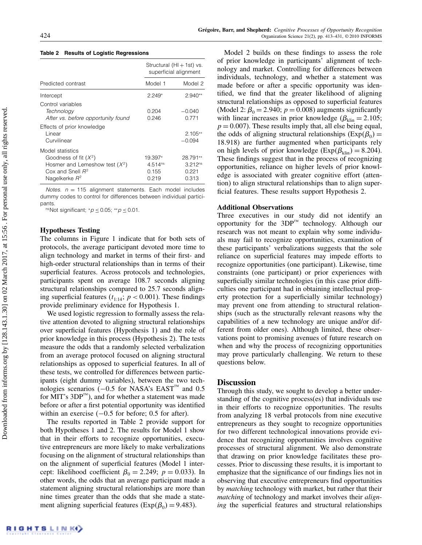#### Table 2 Results of Logistic Regressions

|                                                                                                                              | Structural $(HI + 1st)$ vs.<br>superficial alignment |                                                   |
|------------------------------------------------------------------------------------------------------------------------------|------------------------------------------------------|---------------------------------------------------|
| Predicted contrast                                                                                                           | Model 1                                              | Model 2                                           |
| Intercept                                                                                                                    | $2.249*$                                             | $2.940**$                                         |
| Control variables<br>Technology<br>After vs. before opportunity found<br>Effects of prior knowledge<br>Linear<br>Curvilinear | 0.204<br>0.246                                       | $-0.040$<br>0.771<br>$2.105**$<br>$-0.094$        |
| Model statistics<br>Goodness of fit $(X^2)$<br>Hosmer and Lemeshow test $(X^2)$<br>Cox and Snell $R^2$<br>Nagelkerke $R^2$   | 19.397*<br>$4.514^{ns}$<br>0.155<br>0.219            | 28.791**<br>3.212 <sup>ns</sup><br>0.221<br>0.313 |

Notes.  $n = 115$  alignment statements. Each model includes dummy codes to control for differences between individual participants

<sup>ns</sup>Not significant;  $p \le 0.05$ ; \*\* $p \le 0.01$ .

## Hypotheses Testing

The columns in Figure 1 indicate that for both sets of protocols, the average participant devoted more time to align technology and market in terms of their first- and high-order structural relationships than in terms of their superficial features. Across protocols and technologies, participants spent on average 108.7 seconds aligning structural relationships compared to 25.7 seconds aligning superficial features ( $t_{1:14}$ ;  $p < 0.001$ ). These findings provide preliminary evidence for Hypothesis 1.

We used logistic regression to formally assess the relative attention devoted to aligning structural relationships over superficial features (Hypothesis 1) and the role of prior knowledge in this process (Hypothesis 2). The tests measure the odds that a randomly selected verbalization from an average protocol focused on aligning structural relationships as opposed to superficial features. In all of these tests, we controlled for differences between participants (eight dummy variables), between the two technologies scenarios (−05 for NASA's EAST™ and 0.5 for MIT's  $3DP^{TM}$ ), and for whether a statement was made before or after a first potential opportunity was identified within an exercise  $(-0.5$  for before; 0.5 for after).

The results reported in Table 2 provide support for both Hypotheses 1 and 2. The results for Model 1 show that in their efforts to recognize opportunities, executive entrepreneurs are more likely to make verbalizations focusing on the alignment of structural relationships than on the alignment of superficial features (Model 1 intercept: likelihood coefficient  $\beta_0 = 2.249$ ;  $p = 0.033$ ). In other words, the odds that an average participant made a statement aligning structural relationships are more than nine times greater than the odds that she made a statement aligning superficial features ( $Exp(\beta_0) = 9.483$ ).

Model 2 builds on these findings to assess the role of prior knowledge in participants' alignment of technology and market. Controlling for differences between individuals, technology, and whether a statement was made before or after a specific opportunity was identified, we find that the greater likelihood of aligning structural relationships as opposed to superficial features (Model 2:  $\beta_0 = 2.940$ ;  $p = 0.008$ ) augments significantly with linear increases in prior knowledge ( $\beta_{\text{kin}} = 2.105$ ;  $p = 0.007$ ). These results imply that, all else being equal, the odds of aligning structural relationships  $(Exp(\beta_0) =$ 18.918) are further augmented when participants rely on high levels of prior knowledge  $\left(\text{Exp}(\beta_{\text{kin}})\right) = 8.204$ . These findings suggest that in the process of recognizing opportunities, reliance on higher levels of prior knowledge is associated with greater cognitive effort (attention) to align structural relationships than to align superficial features. These results support Hypothesis 2.

## Additional Observations

Three executives in our study did not identify an opportunity for the 3DP™ technology. Although our research was not meant to explain why some individuals may fail to recognize opportunities, examination of these participants' verbalizations suggests that the sole reliance on superficial features may impede efforts to recognize opportunities (one participant). Likewise, time constraints (one participant) or prior experiences with superficially similar technologies (in this case prior difficulties one participant had in obtaining intellectual property protection for a superficially similar technology) may prevent one from attending to structural relationships (such as the structurally relevant reasons why the capabilities of a new technology are unique and/or different from older ones). Although limited, these observations point to promising avenues of future research on when and why the process of recognizing opportunities may prove particularly challenging. We return to these questions below.

## **Discussion**

Through this study, we sought to develop a better understanding of the cognitive process(es) that individuals use in their efforts to recognize opportunities. The results from analyzing 18 verbal protocols from nine executive entrepreneurs as they sought to recognize opportunities for two different technological innovations provide evidence that recognizing opportunities involves cognitive processes of structural alignment. We also demonstrate that drawing on prior knowledge facilitates these processes. Prior to discussing these results, it is important to emphasize that the significance of our findings lies not in observing that executive entrepreneurs find opportunities by *matching* technology with market, but rather that their matching of technology and market involves their aligning the superficial features and structural relationships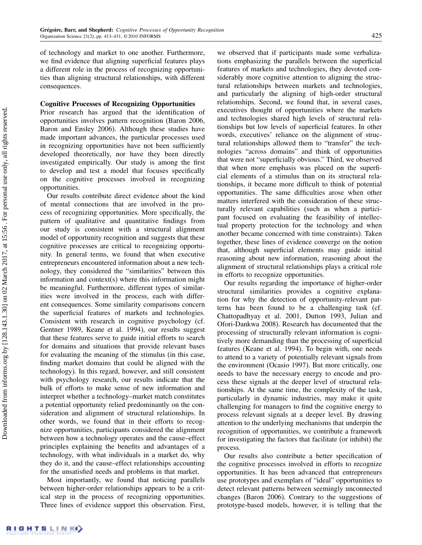of technology and market to one another. Furthermore, we find evidence that aligning superficial features plays a different role in the process of recognizing opportunities than aligning structural relationships, with different consequences.

## Cognitive Processes of Recognizing Opportunities

Prior research has argued that the identification of opportunities involves pattern recognition (Baron 2006, Baron and Ensley 2006). Although these studies have made important advances, the particular processes used in recognizing opportunities have not been sufficiently developed theoretically, nor have they been directly investigated empirically. Our study is among the first to develop and test a model that focuses specifically on the cognitive processes involved in recognizing opportunities.

Our results contribute direct evidence about the kind of mental connections that are involved in the process of recognizing opportunities. More specifically, the pattern of qualitative and quantitative findings from our study is consistent with a structural alignment model of opportunity recognition and suggests that these cognitive processes are critical to recognizing opportunity. In general terms, we found that when executive entrepreneurs encountered information about a new technology, they considered the "similarities" between this information and context(s) where this information might be meaningful. Furthermore, different types of similarities were involved in the process, each with different consequences. Some similarity comparisons concern the superficial features of markets and technologies. Consistent with research in cognitive psychology (cf. Gentner 1989, Keane et al. 1994), our results suggest that these features serve to guide initial efforts to search for domains and situations that provide relevant bases for evaluating the meaning of the stimulus (in this case, finding market domains that could be aligned with the technology). In this regard, however, and still consistent with psychology research, our results indicate that the bulk of efforts to make sense of new information and interpret whether a technology–market match constitutes a potential opportunity relied predominantly on the consideration and alignment of structural relationships. In other words, we found that in their efforts to recognize opportunities, participants considered the alignment between how a technology operates and the cause–effect principles explaining the benefits and advantages of a technology, with what individuals in a market do, why they do it, and the cause–effect relationships accounting for the unsatisfied needs and problems in that market.

Most importantly, we found that noticing parallels between higher-order relationships appears to be a critical step in the process of recognizing opportunities. Three lines of evidence support this observation. First, we observed that if participants made some verbalizations emphasizing the parallels between the superficial features of markets and technologies, they devoted considerably more cognitive attention to aligning the structural relationships between markets and technologies, and particularly the aligning of high-order structural relationships. Second, we found that, in several cases, executives thought of opportunities where the markets and technologies shared high levels of structural relationships but low levels of superficial features. In other words, executives' reliance on the alignment of structural relationships allowed them to "transfer" the technologies "across domains" and think of opportunities that were not "superficially obvious." Third, we observed that when more emphasis was placed on the superficial elements of a stimulus than on its structural relationships, it became more difficult to think of potential opportunities. The same difficulties arose when other matters interfered with the consideration of these structurally relevant capabilities (such as when a participant focused on evaluating the feasibility of intellectual property protection for the technology and when another became concerned with time constraints). Taken together, these lines of evidence converge on the notion that, although superficial elements may guide initial reasoning about new information, reasoning about the alignment of structural relationships plays a critical role in efforts to recognize opportunities.

Our results regarding the importance of higher-order structural similarities provides a cognitive explanation for why the detection of opportunity-relevant patterns has been found to be a challenging task (cf. Chattopadhyay et al. 2001, Dutton 1993, Julian and Ofori-Dankwa 2008). Research has documented that the processing of structurally relevant information is cognitively more demanding than the processing of superficial features (Keane et al. 1994). To begin with, one needs to attend to a variety of potentially relevant signals from the environment (Ocasio 1997). But more critically, one needs to have the necessary energy to encode and process these signals at the deeper level of structural relationships. At the same time, the complexity of the task, particularly in dynamic industries, may make it quite challenging for managers to find the cognitive energy to process relevant signals at a deeper level. By drawing attention to the underlying mechanisms that underpin the recognition of opportunities, we contribute a framework for investigating the factors that facilitate (or inhibit) the process.

Our results also contribute a better specification of the cognitive processes involved in efforts to recognize opportunities. It has been advanced that entrepreneurs use prototypes and exemplars of "ideal" opportunities to detect relevant patterns between seemingly unconnected changes (Baron 2006). Contrary to the suggestions of prototype-based models, however, it is telling that the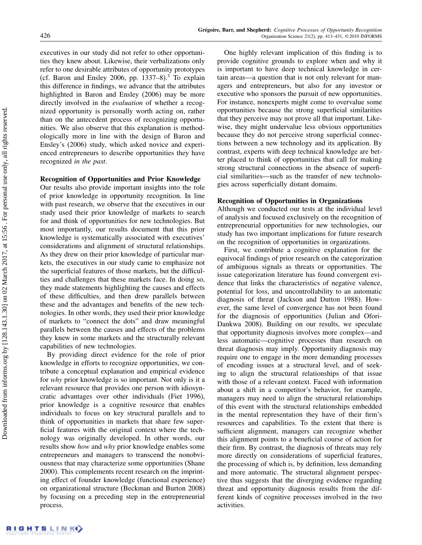executives in our study did not refer to other opportunities they knew about. Likewise, their verbalizations only refer to one desirable attributes of opportunity prototypes (cf. Baron and Ensley 2006, pp.  $1337-8$ ).<sup>3</sup> To explain this difference in findings, we advance that the attributes highlighted in Baron and Ensley (2006) may be more directly involved in the evaluation of whether a recognized opportunity is personally worth acting on, rather than on the antecedent process of recognizing opportunities. We also observe that this explanation is methodologically more in line with the design of Baron and Ensley's (2006) study, which asked novice and experienced entrepreneurs to describe opportunities they have recognized in the past.

## Recognition of Opportunities and Prior Knowledge

Our results also provide important insights into the role of prior knowledge in opportunity recognition. In line with past research, we observe that the executives in our study used their prior knowledge of markets to search for and think of opportunities for new technologies. But most importantly, our results document that this prior knowledge is systematically associated with executives' considerations and alignment of structural relationships. As they drew on their prior knowledge of particular markets, the executives in our study came to emphasize not the superficial features of those markets, but the difficulties and challenges that these markets face. In doing so, they made statements highlighting the causes and effects of these difficulties, and then drew parallels between these and the advantages and benefits of the new technologies. In other words, they used their prior knowledge of markets to "connect the dots" and draw meaningful parallels between the causes and effects of the problems they knew in some markets and the structurally relevant capabilities of new technologies.

By providing direct evidence for the role of prior knowledge in efforts to recognize opportunities, we contribute a conceptual explanation and empirical evidence for why prior knowledge is so important. Not only is it a relevant resource that provides one person with idiosyncratic advantages over other individuals (Fiet 1996), prior knowledge is a cognitive resource that enables individuals to focus on key structural parallels and to think of opportunities in markets that share few superficial features with the original context where the technology was originally developed. In other words, our results show how and why prior knowledge enables some entrepreneurs and managers to transcend the nonobviousness that may characterize some opportunities (Shane 2000). This complements recent research on the imprinting effect of founder knowledge (functional experience) on organizational structure (Beckman and Burton 2008) by focusing on a preceding step in the entrepreneurial process.

One highly relevant implication of this finding is to provide cognitive grounds to explore when and why it is important to have deep technical knowledge in certain areas—a question that is not only relevant for managers and entrepreneurs, but also for any investor or executive who sponsors the pursuit of new opportunities. For instance, nonexperts might come to overvalue some opportunities because the strong superficial similarities that they perceive may not prove all that important. Likewise, they might undervalue less obvious opportunities because they do not perceive strong superficial connections between a new technology and its application. By contrast, experts with deep technical knowledge are better placed to think of opportunities that call for making strong structural connections in the absence of superficial similarities—such as the transfer of new technologies across superficially distant domains.

## Recognition of Opportunities in Organizations

Although we conducted our tests at the individual level of analysis and focused exclusively on the recognition of entrepreneurial opportunities for new technologies, our study has two important implications for future research on the recognition of opportunities in organizations.

First, we contribute a cognitive explanation for the equivocal findings of prior research on the categorization of ambiguous signals as threats or opportunities. The issue categorization literature has found convergent evidence that links the characteristics of negative valence, potential for loss, and uncontrollability to an automatic diagnosis of threat (Jackson and Dutton 1988). However, the same level of convergence has not been found for the diagnosis of opportunities (Julian and Ofori-Dankwa 2008). Building on our results, we speculate that opportunity diagnosis involves more complex—and less automatic—cognitive processes than research on threat diagnosis may imply. Opportunity diagnosis may require one to engage in the more demanding processes of encoding issues at a structural level, and of seeking to align the structural relationships of that issue with those of a relevant context. Faced with information about a shift in a competitor's behavior, for example, managers may need to align the structural relationships of this event with the structural relationships embedded in the mental representation they have of their firm's resources and capabilities. To the extent that there is sufficient alignment, managers can recognize whether this alignment points to a beneficial course of action for their firm. By contrast, the diagnosis of threats may rely more directly on considerations of superficial features, the processing of which is, by definition, less demanding and more automatic. The structural alignment perspective thus suggests that the diverging evidence regarding threat and opportunity diagnosis results from the different kinds of cognitive processes involved in the two activities.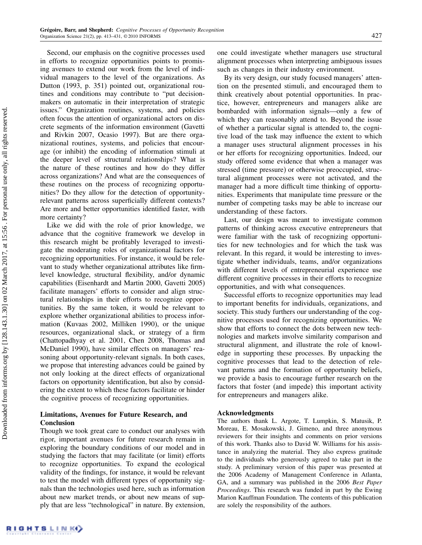Second, our emphasis on the cognitive processes used in efforts to recognize opportunities points to promising avenues to extend our work from the level of individual managers to the level of the organizations. As Dutton (1993, p. 351) pointed out, organizational routines and conditions may contribute to "put decisionmakers on automatic in their interpretation of strategic issues." Organization routines, systems, and policies often focus the attention of organizational actors on discrete segments of the information environment (Gavetti and Rivkin 2007, Ocasio 1997). But are there organizational routines, systems, and policies that encourage (or inhibit) the encoding of information stimuli at the deeper level of structural relationships? What is the nature of these routines and how do they differ across organizations? And what are the consequences of these routines on the process of recognizing opportunities? Do they allow for the detection of opportunityrelevant patterns across superficially different contexts? Are more and better opportunities identified faster, with more certainty?

Like we did with the role of prior knowledge, we advance that the cognitive framework we develop in this research might be profitably leveraged to investigate the moderating roles of organizational factors for recognizing opportunities. For instance, it would be relevant to study whether organizational attributes like firmlevel knowledge, structural flexibility, and/or dynamic capabilities (Eisenhardt and Martin 2000, Gavetti 2005) facilitate managers' efforts to consider and align structural relationships in their efforts to recognize opportunities. By the same token, it would be relevant to explore whether organizational abilities to process information (Kuvaas 2002, Milliken 1990), or the unique resources, organizational slack, or strategy of a firm (Chattopadhyay et al. 2001, Chen 2008, Thomas and McDaniel 1990), have similar effects on managers' reasoning about opportunity-relevant signals. In both cases, we propose that interesting advances could be gained by not only looking at the direct effects of organizational factors on opportunity identification, but also by considering the extent to which these factors facilitate or hinder the cognitive process of recognizing opportunities.

# Limitations, Avenues for Future Research, and **Conclusion**

Though we took great care to conduct our analyses with rigor, important avenues for future research remain in exploring the boundary conditions of our model and in studying the factors that may facilitate (or limit) efforts to recognize opportunities. To expand the ecological validity of the findings, for instance, it would be relevant to test the model with different types of opportunity signals than the technologies used here, such as information about new market trends, or about new means of supply that are less "technological" in nature. By extension, one could investigate whether managers use structural alignment processes when interpreting ambiguous issues such as changes in their industry environment.

By its very design, our study focused managers' attention on the presented stimuli, and encouraged them to think creatively about potential opportunities. In practice, however, entrepreneurs and managers alike are bombarded with information signals—only a few of which they can reasonably attend to. Beyond the issue of whether a particular signal is attended to, the cognitive load of the task may influence the extent to which a manager uses structural alignment processes in his or her efforts for recognizing opportunities. Indeed, our study offered some evidence that when a manager was stressed (time pressure) or otherwise preoccupied, structural alignment processes were not activated, and the manager had a more difficult time thinking of opportunities. Experiments that manipulate time pressure or the number of competing tasks may be able to increase our understanding of these factors.

Last, our design was meant to investigate common patterns of thinking across executive entrepreneurs that were familiar with the task of recognizing opportunities for new technologies and for which the task was relevant. In this regard, it would be interesting to investigate whether individuals, teams, and/or organizations with different levels of entrepreneurial experience use different cognitive processes in their efforts to recognize opportunities, and with what consequences.

Successful efforts to recognize opportunities may lead to important benefits for individuals, organizations, and society. This study furthers our understanding of the cognitive processes used for recognizing opportunities. We show that efforts to connect the dots between new technologies and markets involve similarity comparison and structural alignment, and illustrate the role of knowledge in supporting these processes. By unpacking the cognitive processes that lead to the detection of relevant patterns and the formation of opportunity beliefs, we provide a basis to encourage further research on the factors that foster (and impede) this important activity for entrepreneurs and managers alike.

# Acknowledgments

The authors thank L. Argote, T. Lumpkin, S. Matusik, P. Moreau, E. Mosakowski, J. Gimeno, and three anonymous reviewers for their insights and comments on prior versions of this work. Thanks also to David W. Williams for his assistance in analyzing the material. They also express gratitude to the individuals who generously agreed to take part in the study. A preliminary version of this paper was presented at the 2006 Academy of Management Conference in Atlanta, GA, and a summary was published in the 2006 Best Paper Proceedings. This research was funded in part by the Ewing Marion Kauffman Foundation. The contents of this publication are solely the responsibility of the authors.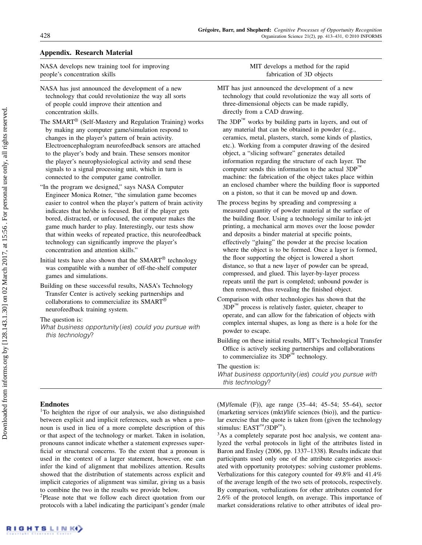# Appendix. Research Material

NASA develops new training tool for improving MIT develops a method for the rapid people's concentration skills fabrication of 3D objects

- NASA has just announced the development of a new technology that could revolutionize the way all sorts of people could improve their attention and concentration skills.
- The SMART® (Self-Mastery and Regulation Training) works by making any computer game/simulation respond to changes in the player's pattern of brain activity. Electroencephalogram neurofeedback sensors are attached to the player's body and brain. These sensors monitor the player's neurophysiological activity and send these signals to a signal processing unit, which in turn is connected to the computer game controller.
- "In the program we designed," says NASA Computer Engineer Monica Rotner, "the simulation game becomes easier to control when the player's pattern of brain activity indicates that he/she is focused. But if the player gets bored, distracted, or unfocused, the computer makes the game much harder to play. Interestingly, our tests show that within weeks of repeated practice, this neurofeedback technology can significantly improve the player's concentration and attention skills."
- Initial tests have also shown that the  $SMARK^{\circledR}$  technology was compatible with a number of off-the-shelf computer games and simulations.
- Building on these successful results, NASA's Technology Transfer Center is actively seeking partnerships and collaborations to commercialize its SMART® neurofeedback training system.

The question is:

What business opportunity (ies) could you pursue with this technology?

- 
- MIT has just announced the development of a new technology that could revolutionize the way all sorts of three-dimensional objects can be made rapidly, directly from a CAD drawing.
- The 3DP™ works by building parts in layers, and out of any material that can be obtained in powder (e.g., ceramics, metal, plasters, starch, some kinds of plastics, etc.). Working from a computer drawing of the desired object, a "slicing software" generates detailed information regarding the structure of each layer. The computer sends this information to the actual  $3DP^{\mathsf{m}}$ machine: the fabrication of the object takes place within an enclosed chamber where the building floor is supported on a piston, so that it can be moved up and down.
- The process begins by spreading and compressing a measured quantity of powder material at the surface of the building floor. Using a technology similar to ink-jet printing, a mechanical arm moves over the loose powder and deposits a binder material at specific points, effectively "gluing" the powder at the precise location where the object is to be formed. Once a layer is formed, the floor supporting the object is lowered a short distance, so that a new layer of powder can be spread, compressed, and glued. This layer-by-layer process repeats until the part is completed; unbound powder is then removed, thus revealing the finished object.
- Comparison with other technologies has shown that the  $3DP^{m}$  process is relatively faster, quieter, cheaper to operate, and can allow for the fabrication of objects with complex internal shapes, as long as there is a hole for the powder to escape.
- Building on these initial results, MIT's Technological Transfer Office is actively seeking partnerships and collaborations to commercialize its  $3DP^{m}$  technology.

The question is:

What business opportunity (ies) could you pursue with this technology?

<sup>1</sup>To heighten the rigor of our analysis, we also distinguished between explicit and implicit references, such as when a pronoun is used in lieu of a more complete description of this or that aspect of the technology or market. Taken in isolation, pronouns cannot indicate whether a statement expresses superficial or structural concerns. To the extent that a pronoun is used in the context of a larger statement, however, one can infer the kind of alignment that mobilizes attention. Results showed that the distribution of statements across explicit and implicit categories of alignment was similar, giving us a basis to combine the two in the results we provide below.

<sup>2</sup>Please note that we follow each direct quotation from our protocols with a label indicating the participant's gender (male (M)/female (F)), age range (35–44; 45–54; 55–64), sector (marketing services (mkt)/life sciences (bio)), and the particular exercise that the quote is taken from (given the technology stimulus: EAST™/3DP™).

<sup>3</sup>As a completely separate post hoc analysis, we content analyzed the verbal protocols in light of the attributes listed in Baron and Ensley (2006, pp. 1337–1338). Results indicate that participants used only one of the attribute categories associated with opportunity prototypes: solving customer problems. Verbalizations for this category counted for 49.8% and 41.4% of the average length of the two sets of protocols, respectively. By comparison, verbalizations for other attributes counted for 2.6% of the protocol length, on average. This importance of market considerations relative to other attributes of ideal pro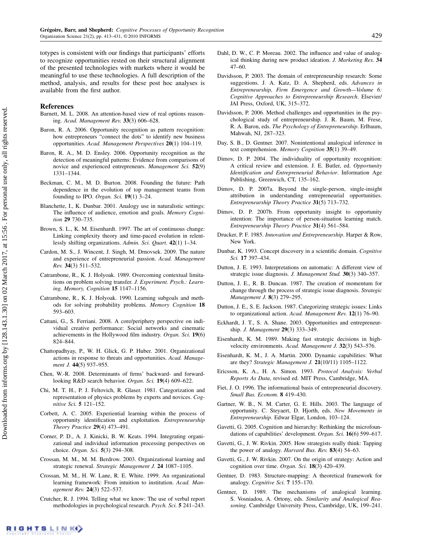totypes is consistent with our findings that participants' efforts to recognize opportunities rested on their structural alignment of the presented technologies with markets where it would be meaningful to use these technologies. A full description of the method, analysis, and results for these post hoc analyses is available from the first author.

### References

- Barnett, M. L. 2008. An attention-based view of real options reasoning. Acad. Management Rev. 33(3) 606–628.
- Baron, R. A. 2006. Opportunity recognition as pattern recognition: how entrepreneurs "connect the dots" to identify new business opportunities. Acad. Management Perspectives 20(1) 104–119.
- Baron, R. A., M. D. Ensley. 2006. Opportunity recognition as the detection of meaningful patterns: Evidence from comparisons of novice and experienced entrepreneurs. Management Sci. 52(9) 1331–1344.
- Beckman, C. M., M. D. Burton. 2008. Founding the future: Path dependence in the evolution of top management teams from founding to IPO. Organ. Sci.  $19(1)$  3-24.
- Blanchette, I., K. Dunbar. 2001. Analogy use in naturalistic settings: The influence of audience, emotion and goals. Memory Cognition 29 730–735.
- Brown, S. L., K. M. Eisenhardt. 1997. The art of continuous change: Linking complexity theory and time-paced evolution in relentlessly shifting organizations. Admin. Sci. Quart. 42(1) 1–34.
- Cardon, M. S., J. Wincent, J. Singh, M. Drnovsek. 2009. The nature and experience of entrepreneurial passion. Acad. Management Rev. 34(3) 511–532.
- Catrambone, R., K. J. Holyoak. 1989. Overcoming contextual limitations on problem solving transfer. J. Experiment. Psych.: Learning, Memory, Cognition 15 1147–1156.
- Catrambone, R., K. J. Holyoak. 1990. Learning subgoals and methods for solving probability problems. Memory Cognition 18 593–603.
- Cattani, G., S. Ferriani. 2008. A core/periphery perspective on individual creative performance: Social networks and cinematic achievements in the Hollywood film industry. Organ. Sci. 19(6) 824–844.
- Chattopadhyay, P., W. H. Glick, G. P. Huber. 2001. Organizational actions in response to threats and opportunities. Acad. Management J. 44(5) 937-955.
- Chen, W.-R. 2008. Determinants of firms' backward- and forwardlooking R&D search behavior. Organ. Sci. 19(4) 609-622.
- Chi, M. T. H., P. J. Feltovich, R. Glaser. 1981. Categorization and representation of physics problems by experts and novices. Cognitive Sci. 5 121–152.
- Corbett, A. C. 2005. Experiential learning within the process of opportunity identification and exploitation. Entrepreneurship Theory Practice 29(4) 473–491.
- Corner, P. D., A. J. Kinicki, B. W. Keats. 1994. Integrating organizational and individual information processing perspectives on choice. Organ. Sci. 5(3) 294-308.
- Crossan, M. M., M. M. Berdrow. 2003. Organizational learning and strategic renewal. Strategic Management J. 24 1087–1105.
- Crossan, M. M., H. W. Lane, R. E. White. 1999. An organizational learning framework: From intuition to institution. Acad. Management Rev. 24(3) 522–537.
- Crutcher, R. J. 1994. Telling what we know: The use of verbal report methodologies in psychological research. Psych. Sci. 5 241–243.
- Dahl, D. W., C. P. Moreau. 2002. The influence and value of analogical thinking during new product ideation. J. Marketing Res. 34 47–60.
- Davidsson, P. 2003. The domain of entrepreneurship research: Some suggestions. J. A. Katz, D. A. Shepherd, eds. Advances in Entrepreneurship, Firm Emergence and Growth—Volume 6: Cognitive Approaches to Entrepreneurship Research. Elsevier/ JAI Press, Oxford, UK, 315–372.
- Davidsson, P. 2006. Method challenges and opportunities in the psychological study of entrepreneurship. J. R. Baum, M. Frese, R. A. Baron, eds. The Psychology of Entrepreneurship. Erlbaum, Mahwah, NJ, 287–323.
- Day, S. B., D. Gentner. 2007. Nonintentional analogical inference in text comprehension. Memory Cognition 35(1) 39-49.
- Dimov, D. P. 2004. The individuality of opportunity recognition: A critical review and extension. J. E. Butler, ed. Opportunity Identification and Entrepreneurial Behavior. Information Age Publishing, Greenwich, CT, 135–162.
- Dimov, D. P. 2007a. Beyond the single-person, single-insight attribution in understanding entrepreneurial opportunities. Entrepreneurship Theory Practice 31(5) 713–732.
- Dimov, D. P. 2007b. From opportunity insight to opportunity intention: The importance of person-situation learning match. Entrepreneurship Theory Practice 31(4) 561–584.
- Drucker, P. F. 1985. Innovation and Entrepreneurship. Harper & Row, New York.
- Dunbar, K. 1993. Concept discovery in a scientific domain. Cognitive Sci. 17 397–434.
- Dutton, J. E. 1993. Interpretations on automatic: A different view of strategic issue diagnosis. J. Management Stud. 30(3) 340–357.
- Dutton, J. E., R. B. Duncan. 1987. The creation of momentum for change through the process of strategic issue diagnosis. Strategic Management J. 8(3) 279–295.
- Dutton, J. E., S. E. Jackson. 1987. Categorizing strategic issues: Links to organizational action. Acad. Management Rev. 12(1) 76–90.
- Eckhardt, J. T., S. A. Shane. 2003. Opportunities and entrepreneurship. J. Management 29(3) 333–349.
- Eisenhardt, K. M. 1989. Making fast strategic decisions in highvelocity environments. Acad. Management J. 32(3) 543–576.
- Eisenhardt, K. M., J. A. Martin. 2000. Dynamic capabilities: What are they? Strategic Management J. 21(10/11) 1105-1122.
- Ericsson, K. A., H. A. Simon. 1993. Protocol Analysis: Verbal Reports As Data, revised ed. MIT Press, Cambridge, MA.
- Fiet, J. O. 1996. The informational basis of entrepreneurial discovery. Small Bus. Econom. 8 419–430.
- Gartner, W. B., N. M. Carter, G. E. Hills. 2003. The language of opportunity. C. Steyaert, D. Hjorth, eds. New Movements in Entrepreneurship. Edwar Elgar, London, 103–124.
- Gavetti, G. 2005. Cognition and hierarchy: Rethinking the microfoundations of capabilities' development. Organ. Sci. 16(6) 599–617.
- Gavetti, G., J. W. Rivkin. 2005. How strategists really think: Tapping the power of analogy. Harvard Bus. Rev. 83(4) 54-63.
- Gavetti, G., J. W. Rivkin. 2007. On the origin of strategy: Action and cognition over time. Organ. Sci. 18(3) 420–439.
- Gentner, D. 1983. Structure-mapping: A theoretical framework for analogy. Cognitive Sci. 7 155–170.
- Gentner, D. 1989. The mechanisms of analogical learning. S. Vosniadou, A. Ortony, eds. Similarity and Analogical Reasoning. Cambridge University Press, Cambridge, UK, 199–241.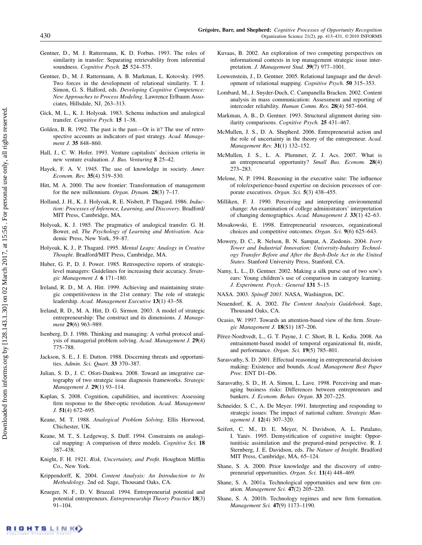- Gentner, D., M. J. Rattermann, K. D. Forbus. 1993. The roles of similarity in transfer: Separating retrievability from inferential soundness. Cognitive Psych. 25 524-575.
- Gentner, D., M. J. Rattermann, A. B. Markman, L. Kotovsky. 1995. Two forces in the development of relational similarity. T. J. Simon, G. S. Halford, eds. Developing Cognitive Competence: New Approaches to Process Modeling. Lawrence Erlbaum Associates, Hillsdale, NJ, 263–313.
- Gick, M. L., K. J. Holyoak. 1983. Schema induction and analogical transfer. Cognitive Psych. 15 1–38.
- Golden, B. R. 1992. The past is the past—Or is it? The use of retrospective accounts as indicators of past strategy. Acad. Management J. 35 848–860.
- Hall, J., C. W. Hofer. 1993. Venture capitalists' decision criteria in new venture evaluation. J. Bus. Venturing 8 25–42.
- Hayek, F. A. V. 1945. The use of knowledge in society. Amer. Econom. Rev. 35(4) 519–530.
- Hitt, M. A. 2000. The new frontier: Transformation of management for the new millennium. Organ. Dynam. 28(3) 7–17.
- Holland, J. H., K. J. Holyoak, R. E. Nisbett, P. Thagard. 1986. Induction: Processes of Inference, Learning, and Discovery. Bradford/ MIT Press, Cambridge, MA.
- Holyoak, K. J. 1985. The pragmatics of analogical transfer. G. H. Bower, ed. The Psychology of Learning and Motivation. Academic Press, New York, 59–87.
- Holyoak, K. J., P. Thagard. 1995. Mental Leaps: Analogy in Creative Thought. Bradford/MIT Press, Cambridge, MA.
- Huber, G. P., D. J. Power. 1985. Retrospective reports of strategiclevel managers: Guidelines for increasing their accuracy. Strategic Management J. 6 171–180.
- Ireland, R. D., M. A. Hitt. 1999. Achieving and maintaining strategic competitiveness in the 21st century: The role of strategic leadership. Acad. Management Executive 13(1) 43-58.
- Ireland, R. D., M. A. Hitt, D. G. Sirmon. 2003. A model of strategic entrepreneurship: The construct and its dimensions. J. Management 29(6) 963-989.
- Isenberg, D. J. 1986. Thinking and managing: A verbal protocol analysis of managerial problem solving. Acad. Management J. 29(4) 775–788.
- Jackson, S. E., J. E. Dutton. 1988. Discerning threats and opportunities. Admin. Sci. Quart. 33 370–387.
- Julian, S. D., J. C. Ofori-Dankwa. 2008. Toward an integrative cartography of two strategic issue diagnosis frameworks. Strategic Management J. 29(1) 93–114.
- Kaplan, S. 2008. Cognition, capabilities, and incentives: Assessing firm response to the fiber-optic revolution. Acad. Management  $J. 51(4) 672-695.$
- Keane, M. T. 1988. Analogical Problem Solving. Ellis Horwood, Chichester, UK.
- Keane, M. T., S. Ledgeway, S. Duff. 1994. Constraints on analogical mapping: A comparison of three models. Cognitive Sci. 18 387–438.
- Knight, F. H. 1921. Risk, Uncertainty, and Profit. Houghton Mifflin Co., New York.
- Krippendorff, K. 2004. Content Analysis: An Introduction to Its Methodology. 2nd ed. Sage, Thousand Oaks, CA.
- Krueger, N. F., D. V. Brazeal. 1994. Entrepreneurial potential and potential entrepreneurs. Entrepreneurship Theory Practice 18(3) 91–104.
- Kuvaas, B. 2002. An exploration of two competing perspectives on informational contexts in top management strategic issue interpretation. J. Management Stud. 39(7) 977-1001.
- Loewenstein, J., D. Gentner. 2005. Relational language and the development of relational mapping. Cognitive Psych. 50 315–353.
- Lombard, M., J. Snyder-Duch, C. Campanella Bracken. 2002. Content analysis in mass communication: Assessment and reporting of intercoder reliability. Human Comm. Res. 28(4) 587–604.
- Markman, A. B., D. Gentner. 1993. Structural alignment during similarity comparisons. Cognitive Psych. 25 431–467.
- McMullen, J. S., D. A. Shepherd. 2006. Entrepreneurial action and the role of uncertainty in the theory of the entrepreneur. Acad. Management Rev. 31(1) 132–152.
- McMullen, J. S., L. A. Plummer, Z. J. Acs. 2007. What is an entrepreneurial opportunity? Small Bus. Econom. 28(4) 273–283.
- Melone, N. P. 1994. Reasoning in the executive suite: The influence of role/experience-based expertise on decision processes of corporate executives. Organ. Sci. 5(3) 438-455.
- Milliken, F. J. 1990. Perceiving and interpreting environmental change: An examination of college administrators' interpretation of changing demographics. Acad. Management J. 33(1) 42–63.
- Mosakowski, E. 1998. Entrepreneurial resources, organizational choices and competitive outcomes. Organ. Sci. 9(6) 625–643.
- Mowery, D. C., R. Nelson, B. N. Sampat, A. Ziedonis. 2004. Ivory Tower and Industrial Innovation: University-Industry Technology Transfer Before and After the Bayh-Dole Act in the United States. Stanford University Press, Stanford, CA.
- Namy, L. L., D. Gentner. 2002. Making a silk purse out of two sow's ears: Young children's use of comparison in category learning. J. Experiment. Psych.: General 131 5–15.
- NASA. 2003. Spinoff 2003. NASA, Washington, DC.
- Neuendorf, K. A. 2002. The Content Analysis Guidebook. Sage, Thousand Oaks, CA.
- Ocasio, W. 1997. Towards an attention-based view of the firm. Strategic Management J. 18(S1) 187–206.
- Pérez-Nordtvedt, L., G. T. Payne, J. C. Short, B. L. Kedia. 2008. An entrainment-based model of temporal organizational fit, misfit, and performance. Organ. Sci. 19(5) 785–801.
- Sarasvathy, S. D. 2001. Effectual reasoning in entrepreneurial decision making: Existence and bounds. Acad. Management Best Paper Proc. ENT D1–D6.
- Sarasvathy, S. D., H. A. Simon, L. Lave. 1998. Perceiving and managing business risks: Differences between entrepreneurs and bankers. J. Econom. Behav. Organ. 33 207–225.
- Schneider, S. C., A. De Meyer. 1991. Interpreting and responding to strategic issues: The impact of national culture. Strategic Management J. 12(4) 307–320.
- Seifert, C. M., D. E. Meyer, N. Davidson, A. L. Patalano, I. Yaniv. 1995. Demystification of cognitive insight: Opportunitisic assimilation and the prepared-mind perspective. R. J. Sternberg, J. E. Davidson, eds. The Nature of Insight. Bradford MIT Press, Cambridge, MA, 65–124.
- Shane, S. A. 2000. Prior knowledge and the discovery of entrepreneurial opportunities. Organ. Sci. 11(4) 448-469.
- Shane, S. A. 2001a. Technological opportunities and new firm creation. Management Sci. 47(2) 205–220.
- Shane, S. A. 2001b. Technology regimes and new firm formation. Management Sci. 47(9) 1173–1190.